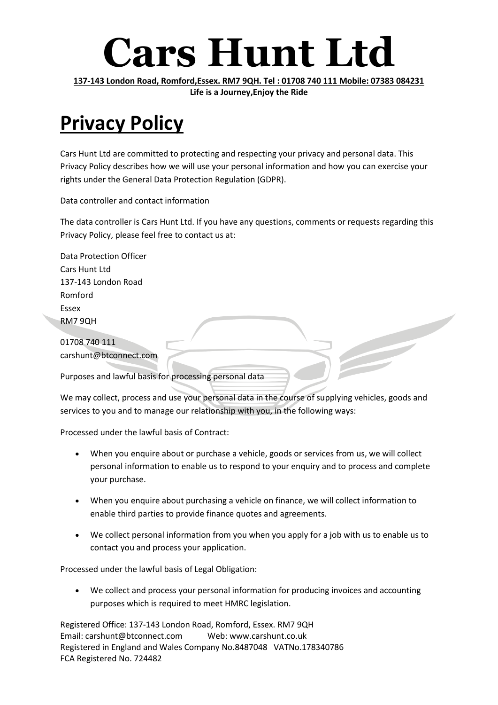### **Cars Hunt Ltd**

**137-143 London Road, Romford,Essex. RM7 9QH. Tel : 01708 740 111 Mobile: 07383 084231 Life is a Journey,Enjoy the Ride**

### **Privacy Policy**

Cars Hunt Ltd are committed to protecting and respecting your privacy and personal data. This Privacy Policy describes how we will use your personal information and how you can exercise your rights under the General Data Protection Regulation (GDPR).

Data controller and contact information

The data controller is Cars Hunt Ltd. If you have any questions, comments or requests regarding this Privacy Policy, please feel free to contact us at:

| <b>Data Protection Officer</b>                         |
|--------------------------------------------------------|
| Cars Hunt Ltd                                          |
| 137-143 London Road                                    |
| Romford                                                |
| Essex                                                  |
| RM79QH                                                 |
|                                                        |
| 01708 740 111                                          |
| carshunt@btconnect.com                                 |
| Purposes and lawful basis for processing personal data |

We may collect, process and use your personal data in the course of supplying vehicles, goods and services to you and to manage our relationship with you, in the following ways:

Processed under the lawful basis of Contract:

- When you enquire about or purchase a vehicle, goods or services from us, we will collect personal information to enable us to respond to your enquiry and to process and complete your purchase.
- When you enquire about purchasing a vehicle on finance, we will collect information to enable third parties to provide finance quotes and agreements.
- We collect personal information from you when you apply for a job with us to enable us to contact you and process your application.

Processed under the lawful basis of Legal Obligation:

 We collect and process your personal information for producing invoices and accounting purposes which is required to meet HMRC legislation.

Registered Office: 137-143 London Road, Romford, Essex. RM7 9QH Email: carshunt@btconnect.com Web: www.carshunt.co.uk Registered in England and Wales Company No.8487048 VATNo.178340786 FCA Registered No. 724482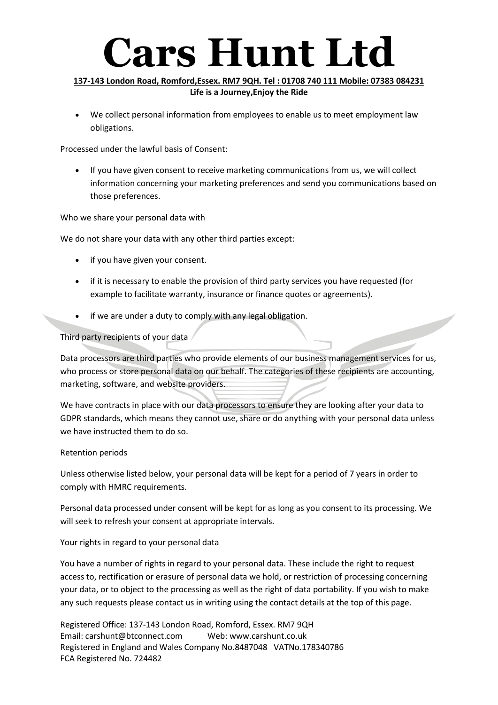# **Cars Hunt Ltd**

#### **137-143 London Road, Romford,Essex. RM7 9QH. Tel : 01708 740 111 Mobile: 07383 084231 Life is a Journey,Enjoy the Ride**

 We collect personal information from employees to enable us to meet employment law obligations.

Processed under the lawful basis of Consent:

 If you have given consent to receive marketing communications from us, we will collect information concerning your marketing preferences and send you communications based on those preferences.

Who we share your personal data with

We do not share your data with any other third parties except:

- if you have given your consent.
- if it is necessary to enable the provision of third party services you have requested (for example to facilitate warranty, insurance or finance quotes or agreements).
- if we are under a duty to comply with any legal obligation.

Third party recipients of your data

Data processors are third parties who provide elements of our business management services for us, who process or store personal data on our behalf. The categories of these recipients are accounting, marketing, software, and website providers.

We have contracts in place with our data processors to ensure they are looking after your data to GDPR standards, which means they cannot use, share or do anything with your personal data unless we have instructed them to do so.

#### Retention periods

Unless otherwise listed below, your personal data will be kept for a period of 7 years in order to comply with HMRC requirements.

Personal data processed under consent will be kept for as long as you consent to its processing. We will seek to refresh your consent at appropriate intervals.

Your rights in regard to your personal data

You have a number of rights in regard to your personal data. These include the right to request access to, rectification or erasure of personal data we hold, or restriction of processing concerning your data, or to object to the processing as well as the right of data portability. If you wish to make any such requests please contact us in writing using the contact details at the top of this page.

Registered Office: 137-143 London Road, Romford, Essex. RM7 9QH Email: carshunt@btconnect.com Web: www.carshunt.co.uk Registered in England and Wales Company No.8487048 VATNo.178340786 FCA Registered No. 724482